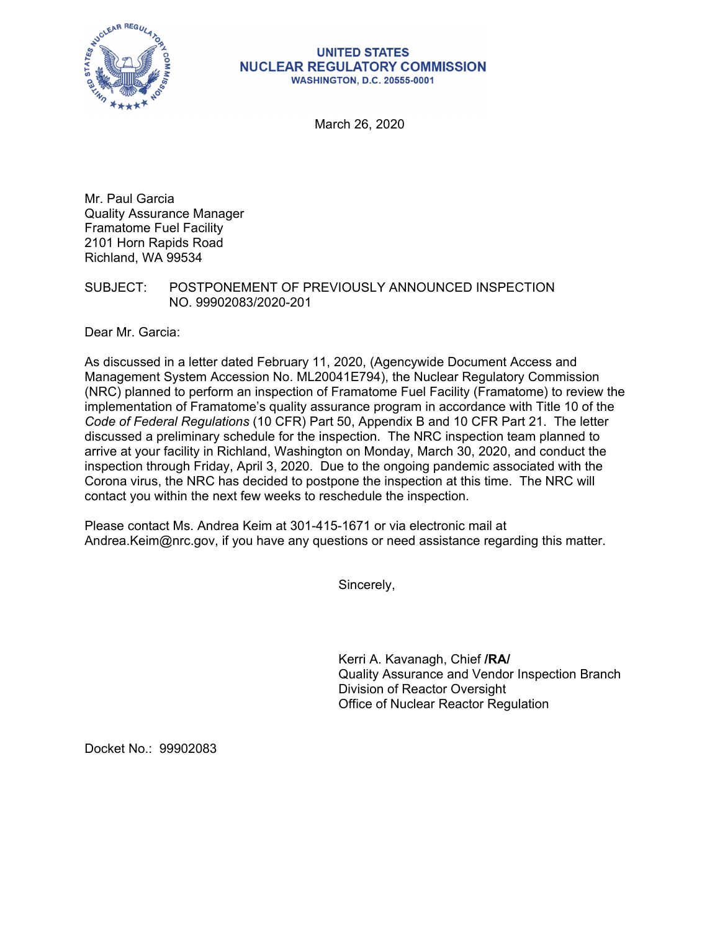

#### **UNITED STATES NUCLEAR REGULATORY COMMISSION WASHINGTON, D.C. 20555-0001**

March 26, 2020

Mr. Paul Garcia Quality Assurance Manager Framatome Fuel Facility 2101 Horn Rapids Road Richland, WA 99534

# SUBJECT: POSTPONEMENT OF PREVIOUSLY ANNOUNCED INSPECTION NO. 99902083/2020-201

Dear Mr. Garcia:

As discussed in a letter dated February 11, 2020, (Agencywide Document Access and Management System Accession No. ML20041E794), the Nuclear Regulatory Commission (NRC) planned to perform an inspection of Framatome Fuel Facility (Framatome) to review the implementation of Framatome's quality assurance program in accordance with Title 10 of the *Code of Federal Regulations* (10 CFR) Part 50, Appendix B and 10 CFR Part 21. The letter discussed a preliminary schedule for the inspection. The NRC inspection team planned to arrive at your facility in Richland, Washington on Monday, March 30, 2020, and conduct the inspection through Friday, April 3, 2020. Due to the ongoing pandemic associated with the Corona virus, the NRC has decided to postpone the inspection at this time. The NRC will contact you within the next few weeks to reschedule the inspection.

Please contact Ms. Andrea Keim at 301-415-1671 or via electronic mail at Andrea.Keim@nrc.gov, if you have any questions or need assistance regarding this matter.

Sincerely,

Kerri A. Kavanagh, Chief **/RA/**  Quality Assurance and Vendor Inspection Branch Division of Reactor Oversight Office of Nuclear Reactor Regulation

Docket No.: 99902083